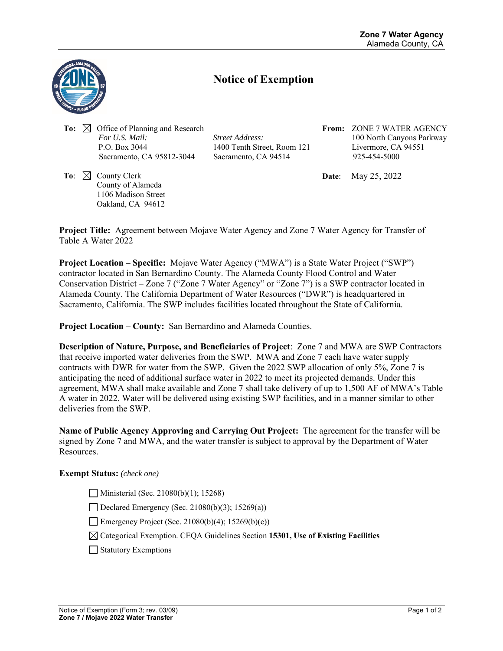

## **Notice of Exemption**

**To:** ⊠ Office of Planning and Research  *For U.S. Mail: Street Address:*  P.O. Box 3044 1400 Tenth Street, Room 121 Sacramento, CA 95812-3044 Sacramento, CA 94514

**To:**  $\boxtimes$  County Clerk County of Alameda 1106 Madison Street Oakland, CA 94612

**From:** ZONE 7 WATER AGENCY 100 North Canyons Parkway Livermore, CA 94551 925-454-5000

**Date**: May 25, 2022

**Project Title:** Agreement between Mojave Water Agency and Zone 7 Water Agency for Transfer of Table A Water 2022

**Project Location – Specific:** Mojave Water Agency ("MWA") is a State Water Project ("SWP") contractor located in San Bernardino County. The Alameda County Flood Control and Water Conservation District – Zone 7 ("Zone 7 Water Agency" or "Zone 7") is a SWP contractor located in Alameda County. The California Department of Water Resources ("DWR") is headquartered in Sacramento, California. The SWP includes facilities located throughout the State of California.

**Project Location – County:** San Bernardino and Alameda Counties.

**Description of Nature, Purpose, and Beneficiaries of Project**: Zone 7 and MWA are SWP Contractors that receive imported water deliveries from the SWP. MWA and Zone 7 each have water supply contracts with DWR for water from the SWP. Given the 2022 SWP allocation of only 5%, Zone 7 is anticipating the need of additional surface water in 2022 to meet its projected demands. Under this agreement, MWA shall make available and Zone 7 shall take delivery of up to 1,500 AF of MWA's Table A water in 2022. Water will be delivered using existing SWP facilities, and in a manner similar to other deliveries from the SWP.

**Name of Public Agency Approving and Carrying Out Project:** The agreement for the transfer will be signed by Zone 7 and MWA, and the water transfer is subject to approval by the Department of Water Resources.

## **Exempt Status:** *(check one)*

Ministerial (Sec. 21080(b)(1); 15268)

Declared Emergency (Sec. 21080(b)(3); 15269(a))

Emergency Project (Sec. 21080(b)(4);  $15269(b)(c)$ )

Categorical Exemption. CEQA Guidelines Section **15301, Use of Existing Facilities** 

Statutory Exemptions